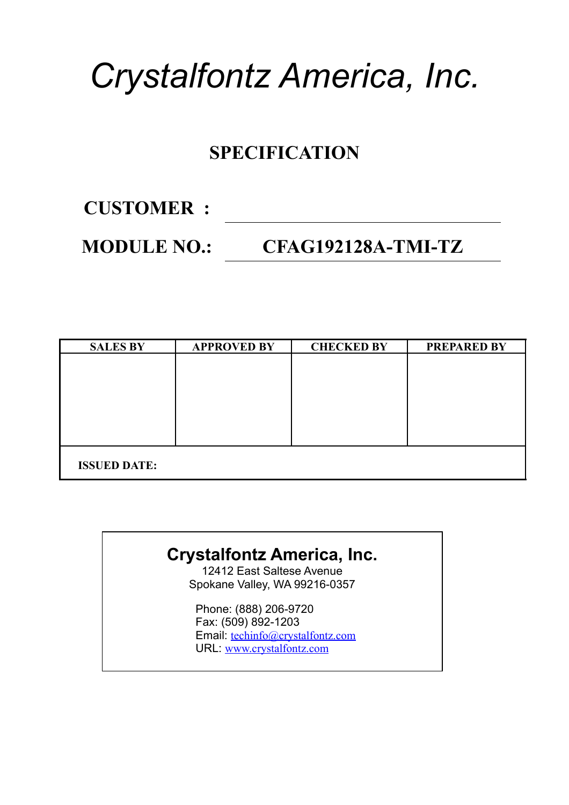# *Crystalfontz America, Inc.*

### **SPECIFICATION**

**CUSTOMER :**

### **MODULE NO.: CFAG192128A-TMI-TZ**

| <b>SALES BY</b>     | <b>APPROVED BY</b> | <b>CHECKED BY</b> | <b>PREPARED BY</b> |
|---------------------|--------------------|-------------------|--------------------|
|                     |                    |                   |                    |
|                     |                    |                   |                    |
|                     |                    |                   |                    |
|                     |                    |                   |                    |
|                     |                    |                   |                    |
|                     |                    |                   |                    |
|                     |                    |                   |                    |
| <b>ISSUED DATE:</b> |                    |                   |                    |
|                     |                    |                   |                    |

### **Crystalfontz America, Inc.**

12412 East Saltese Avenue Spokane Valley, WA 99216-0357

Phone: (888) 206-9720 Fax: (509) 892-1203 Email: [techinfo@crystalfontz.com](mailto:techinfo@crystalfontz.com) URL: [www.crystalfontz.com](http://www.crystalfontz.com/)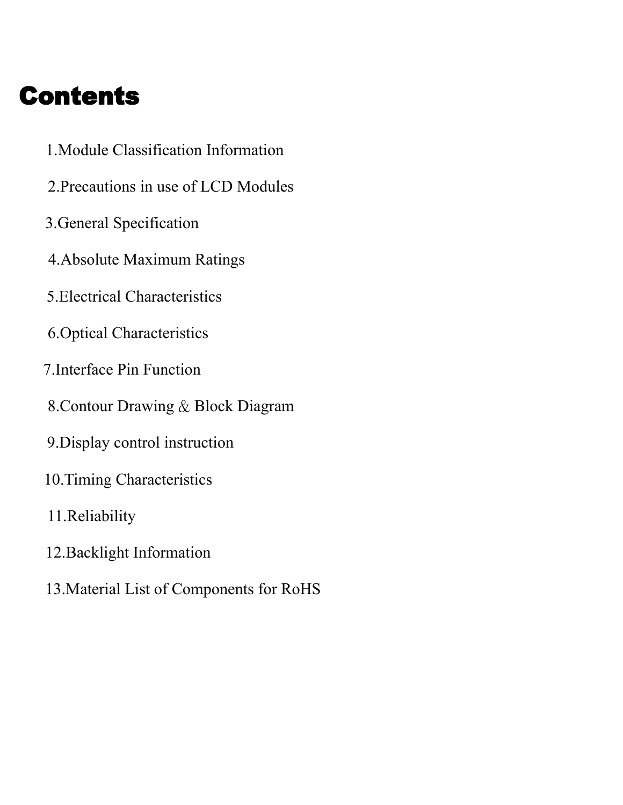## Contents

- 1.Module Classification Information
- 2.Precautions in use of LCD Modules
- 3.General Specification
- 4.Absolute Maximum Ratings
- 5.Electrical Characteristics
- 6.Optical Characteristics
- 7.Interface Pin Function
- 8.Contour Drawing & Block Diagram
- 9.Display control instruction
- 10.Timing Characteristics
- 11.Reliability
- 12.Backlight Information
- 13.Material List of Components for RoHS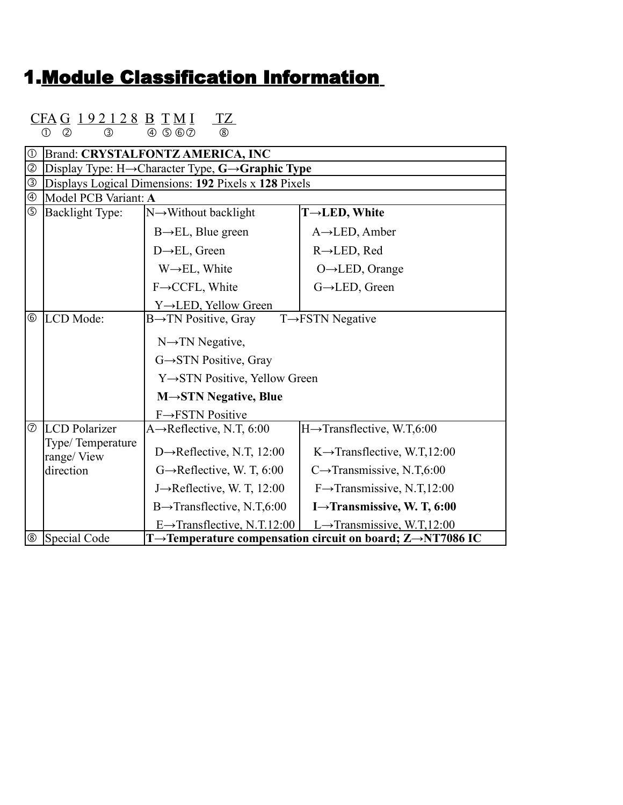### 1.Module Classification Information

### CFA G 192128 B TMI TZ

 $0$   $0$   $3$   $0$   $0$   $0$   $0$   $0$ 

| $\circled{1}$  |                                | <b>Brand: CRYSTALFONTZ AMERICA, INC</b>                                                            |                                                                                      |
|----------------|--------------------------------|----------------------------------------------------------------------------------------------------|--------------------------------------------------------------------------------------|
| $^{\circledR}$ |                                | Display Type: $H \rightarrow$ Character Type, $G \rightarrow$ Graphic Type                         |                                                                                      |
| $\circledS$    |                                | Displays Logical Dimensions: 192 Pixels x 128 Pixels                                               |                                                                                      |
| $\circledA$    | Model PCB Variant: A           |                                                                                                    |                                                                                      |
| $\circledS$    | Backlight Type:                | $N \rightarrow W$ ithout backlight                                                                 | T→LED, White                                                                         |
|                |                                | $B \rightarrow EL$ , Blue green                                                                    | $A \rightarrow$ LED, Amber                                                           |
|                |                                | $D \rightarrow EL$ , Green                                                                         | $R \rightarrow$ LED, Red                                                             |
|                |                                | $W \rightarrow EL$ , White                                                                         | $O \rightarrow$ LED, Orange                                                          |
|                |                                | F→CCFL, White                                                                                      | G→LED, Green                                                                         |
|                |                                | Y→LED, Yellow Green                                                                                |                                                                                      |
| $^{\circledR}$ | LCD Mode:                      | $B\rightarrow TN$ Positive, Gray                                                                   | $T \rightarrow FSTN$ Negative                                                        |
|                |                                | $N \rightarrow TN$ Negative,<br>$G \rightarrow STN$ Positive, Gray<br>Y→STN Positive, Yellow Green |                                                                                      |
|                |                                | $M \rightarrow STN$ Negative, Blue                                                                 |                                                                                      |
|                |                                | $F \rightarrow FSTN$ Positive                                                                      |                                                                                      |
| $\circledcirc$ | <b>LCD</b> Polarizer           | A $\rightarrow$ Reflective, N.T, 6:00                                                              | $H \rightarrow$ Transflective, W.T,6:00                                              |
|                | Type/Temperature<br>range/View | D $\rightarrow$ Reflective, N.T, 12:00                                                             | $K \rightarrow$ Transflective, W.T,12:00                                             |
|                | direction                      | $G \rightarrow$ Reflective, W. T, 6:00                                                             | $C\rightarrow$ Transmissive, N.T,6:00                                                |
|                |                                | J $\rightarrow$ Reflective, W. T, 12:00                                                            | $F \rightarrow$ Transmissive, N.T,12:00                                              |
|                |                                | $B \rightarrow$ Transflective, N.T,6:00                                                            | I $\rightarrow$ Transmissive, W. T, 6:00                                             |
|                |                                | $E \rightarrow$ Transflective, N.T.12:00                                                           | L $\rightarrow$ Transmissive, W.T.12:00                                              |
| $^\circledR$   | Special Code                   |                                                                                                    | T $\rightarrow$ Temperature compensation circuit on board; Z $\rightarrow$ NT7086 IC |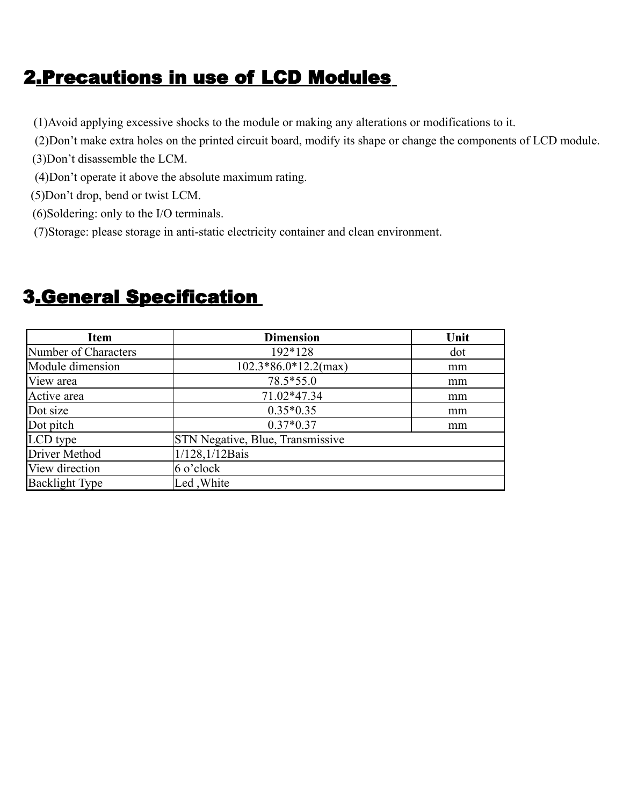### 2.Precautions in use of LCD Modules

- (1)Avoid applying excessive shocks to the module or making any alterations or modifications to it.
- (2)Don't make extra holes on the printed circuit board, modify its shape or change the components of LCD module.
- (3)Don't disassemble the LCM.
- (4)Don't operate it above the absolute maximum rating.
- (5)Don't drop, bend or twist LCM.
- (6)Soldering: only to the I/O terminals.
- (7)Storage: please storage in anti-static electricity container and clean environment.

| <b>Item</b>           | <b>Dimension</b>                        | Unit |
|-----------------------|-----------------------------------------|------|
| Number of Characters  | 192*128                                 | dot  |
| Module dimension      | $102.3*86.0*12.2(max)$                  | mm   |
| View area             | 78.5*55.0                               | mm   |
| Active area           | 71.02*47.34                             | mm   |
| Dot size              | $0.35*0.35$                             | mm   |
| Dot pitch             | $0.37*0.37$                             | mm   |
| LCD type              | <b>STN Negative, Blue, Transmissive</b> |      |
| Driver Method         | 1/128,1/12Bais                          |      |
| View direction        | $6$ o'clock                             |      |
| <b>Backlight Type</b> | Led, White                              |      |

### 3.General Specification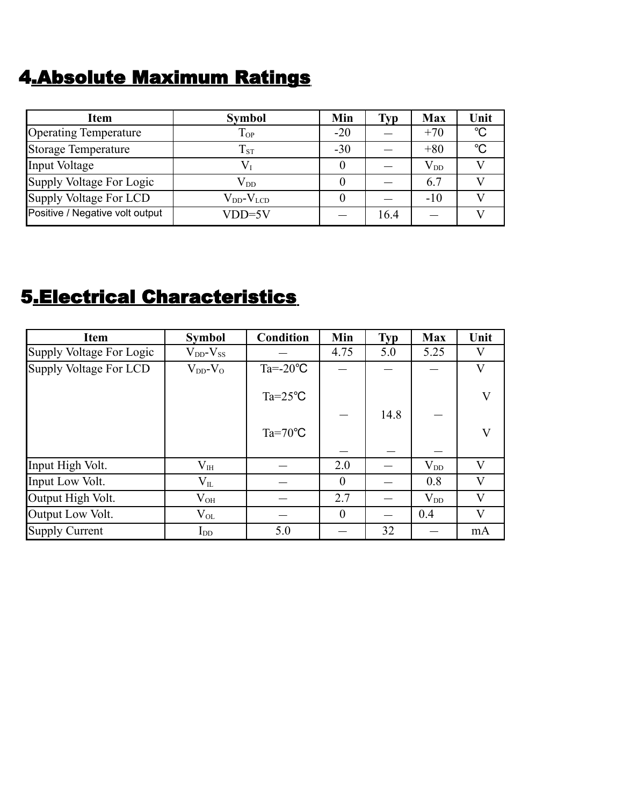### 4.Absolute Maximum Ratings

| <b>Item</b>                     | <b>Symbol</b>        | Min   | Typ  | <b>Max</b>   | Unit         |
|---------------------------------|----------------------|-------|------|--------------|--------------|
| <b>Operating Temperature</b>    | $T_{OP}$             | $-20$ |      | $+70$        | $^{\circ}C$  |
| Storage Temperature             | $T_{ST}$             | $-30$ |      | $+80$        | $^{\circ}$ C |
| Input Voltage                   | $V_{I}$              |       |      | $\rm V_{DD}$ |              |
| Supply Voltage For Logic        | $\rm V_{DD}$         |       |      | 6.7          |              |
| Supply Voltage For LCD          | $V_{DD}$ - $V_{LCD}$ |       |      | $-10$        |              |
| Positive / Negative volt output | $VDD=5V$             |       | 16.4 |              |              |

### 5.Electrical Characteristics

| <b>Item</b>              | <b>Symbol</b>       | <b>Condition</b>   | Min      | <b>Typ</b> | <b>Max</b>   | Unit |
|--------------------------|---------------------|--------------------|----------|------------|--------------|------|
| Supply Voltage For Logic | $V_{DD}$ - $V_{SS}$ |                    | 4.75     | 5.0        | 5.25         | V    |
| Supply Voltage For LCD   | $V_{DD}$ - $V_{O}$  | $Ta = -20$ °C      |          |            |              | V    |
|                          |                     | $Ta = 25^{\circ}C$ |          |            |              | V    |
|                          |                     |                    |          | 14.8       |              |      |
|                          |                     | $Ta = 70^{\circ}C$ |          |            |              | V    |
|                          |                     |                    |          |            |              |      |
| Input High Volt.         | $V_{\rm IH}$        |                    | 2.0      |            | $V_{DD}$     | V    |
| Input Low Volt.          | $\rm V_{II}$        |                    | $\theta$ |            | 0.8          | V    |
| Output High Volt.        | $\rm V_{OH}$        |                    | 2.7      |            | $\rm V_{DD}$ | V    |
| Output Low Volt.         | $\rm V_{OL}$        |                    | $\theta$ |            | 0.4          | V    |
| Supply Current           | $I_{DD}$            | 5.0                |          | 32         |              | mA   |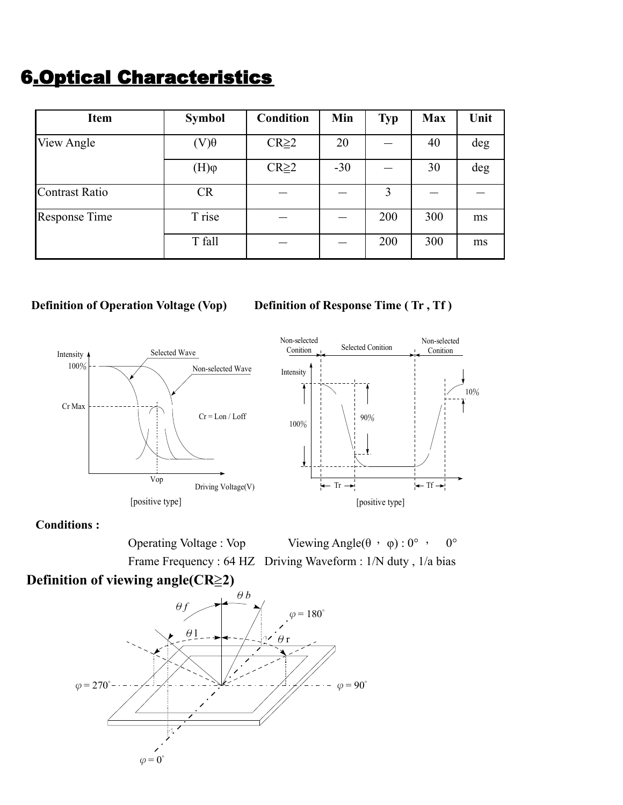### 6.Optical Characteristics

| <b>Item</b>          | <b>Symbol</b> | <b>Condition</b> | Min   | <b>Typ</b> | <b>Max</b> | Unit |
|----------------------|---------------|------------------|-------|------------|------------|------|
| View Angle           | $(V)\theta$   | $CR \geq 2$      | 20    |            | 40         | deg  |
|                      | $(H)\varphi$  | $CR \geq 2$      | $-30$ |            | 30         | deg  |
| Contrast Ratio       | <b>CR</b>     |                  |       | 3          |            |      |
| <b>Response Time</b> | T rise        |                  |       | 200        | 300        | ms   |
|                      | T fall        |                  |       | 200        | 300        | ms   |

#### **Definition of Operation Voltage (Vop)** Definition of Response Time (Tr, Tf)





**Conditions :**

Operating Voltage : Vop Viewing Angle( $\theta$ , φ) : 0°, 0° Frame Frequency : 64 HZ Driving Waveform : 1/N duty , 1/a bias

#### **Definition of viewing angle(CR≥2)**

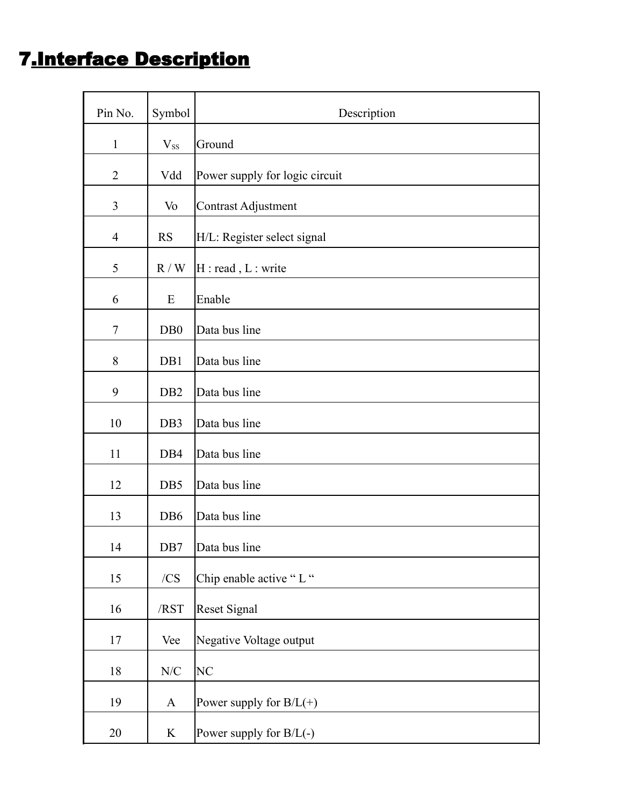### 7.Interface Description

| Pin No.        | Symbol                   | Description                    |
|----------------|--------------------------|--------------------------------|
| $\mathbf{1}$   | $V_{SS}$                 | Ground                         |
| $\overline{2}$ | Vdd                      | Power supply for logic circuit |
| 3              | Vo                       | Contrast Adjustment            |
| $\overline{4}$ | <b>RS</b>                | H/L: Register select signal    |
| 5              | R/W                      | H : read, L : write            |
| 6              | E                        | Enable                         |
| $\tau$         | D <sub>B</sub> 0         | Data bus line                  |
| 8              | DB1                      | Data bus line                  |
| 9              | D <sub>B2</sub>          | Data bus line                  |
| 10             | DB3                      | Data bus line                  |
| 11             | DB4                      | Data bus line                  |
| 12             | DB5                      | Data bus line                  |
| 13             | DB <sub>6</sub>          | Data bus line                  |
| 14             | DB7                      | Data bus line                  |
| 15             | /CS                      | Chip enable active "L"         |
| 16             | /RST                     | <b>Reset Signal</b>            |
| 17             | Vee                      | Negative Voltage output        |
| 18             | ${\rm N\hspace{-1pt}}/C$ | NC                             |
| 19             | $\mathbf{A}$             | Power supply for $B/L(+)$      |
| $20\,$         | $\bf K$                  | Power supply for $B/L(-)$      |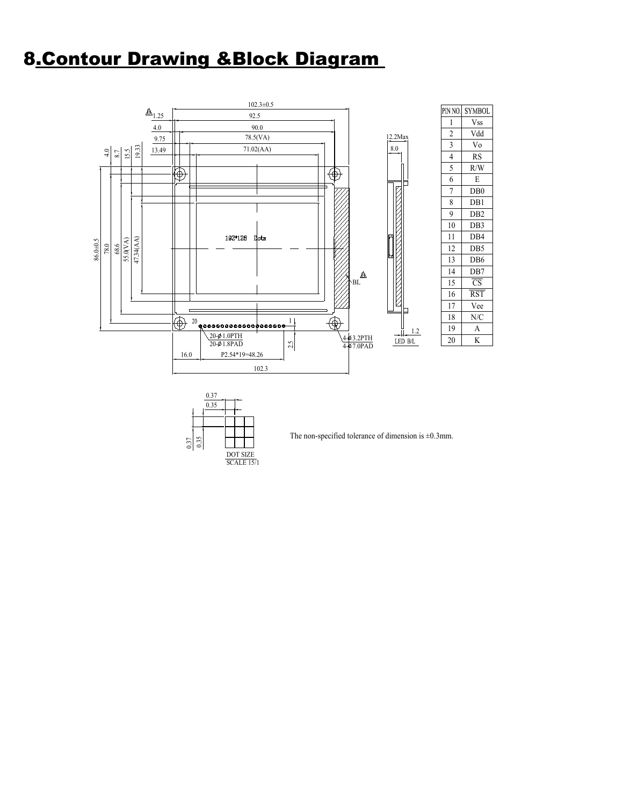### 8.Contour Drawing &Block Diagram





The non-specified tolerance of dimension is  $\pm 0.3$ mm.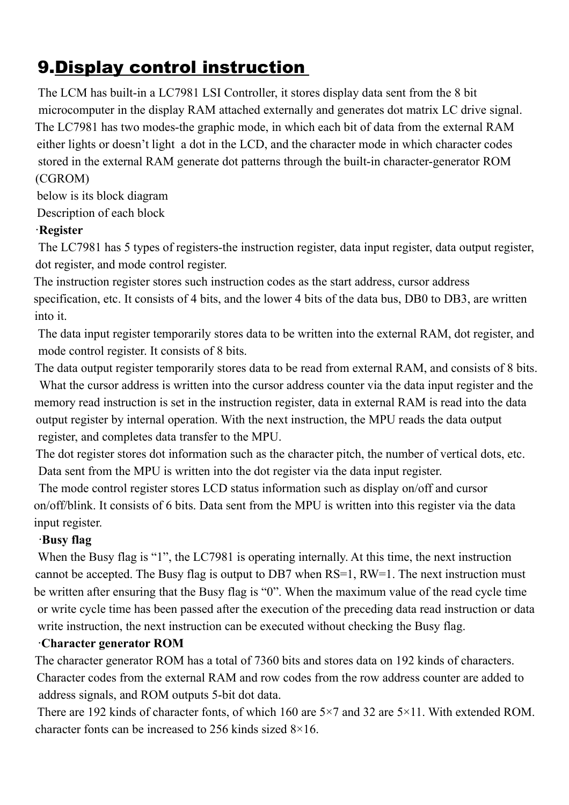### 9.Display control instruction

The LCM has built-in a LC7981 LSI Controller, it stores display data sent from the 8 bit microcomputer in the display RAM attached externally and generates dot matrix LC drive signal. The LC7981 has two modes-the graphic mode, in which each bit of data from the external RAM either lights or doesn't light a dot in the LCD, and the character mode in which character codes stored in the external RAM generate dot patterns through the built-in character-generator ROM (CGROM)

below is its block diagram Description of each block

#### ‧**Register**

The LC7981 has 5 types of registers-the instruction register, data input register, data output register, dot register, and mode control register.

The instruction register stores such instruction codes as the start address, cursor address specification, etc. It consists of 4 bits, and the lower 4 bits of the data bus, DB0 to DB3, are written into it.

The data input register temporarily stores data to be written into the external RAM, dot register, and mode control register. It consists of 8 bits.

The data output register temporarily stores data to be read from external RAM, and consists of 8 bits. What the cursor address is written into the cursor address counter via the data input register and the memory read instruction is set in the instruction register, data in external RAM is read into the data output register by internal operation. With the next instruction, the MPU reads the data output register, and completes data transfer to the MPU.

The dot register stores dot information such as the character pitch, the number of vertical dots, etc. Data sent from the MPU is written into the dot register via the data input register.

The mode control register stores LCD status information such as display on/off and cursor on/off/blink. It consists of 6 bits. Data sent from the MPU is written into this register via the data input register.

#### ‧**Busy flag**

When the Busy flag is "1", the LC7981 is operating internally. At this time, the next instruction cannot be accepted. The Busy flag is output to DB7 when RS=1, RW=1. The next instruction must be written after ensuring that the Busy flag is "0". When the maximum value of the read cycle time or write cycle time has been passed after the execution of the preceding data read instruction or data write instruction, the next instruction can be executed without checking the Busy flag.

#### ‧**Character generator ROM**

The character generator ROM has a total of 7360 bits and stores data on 192 kinds of characters. Character codes from the external RAM and row codes from the row address counter are added to address signals, and ROM outputs 5-bit dot data.

There are 192 kinds of character fonts, of which 160 are 5×7 and 32 are 5×11. With extended ROM. character fonts can be increased to 256 kinds sized 8×16.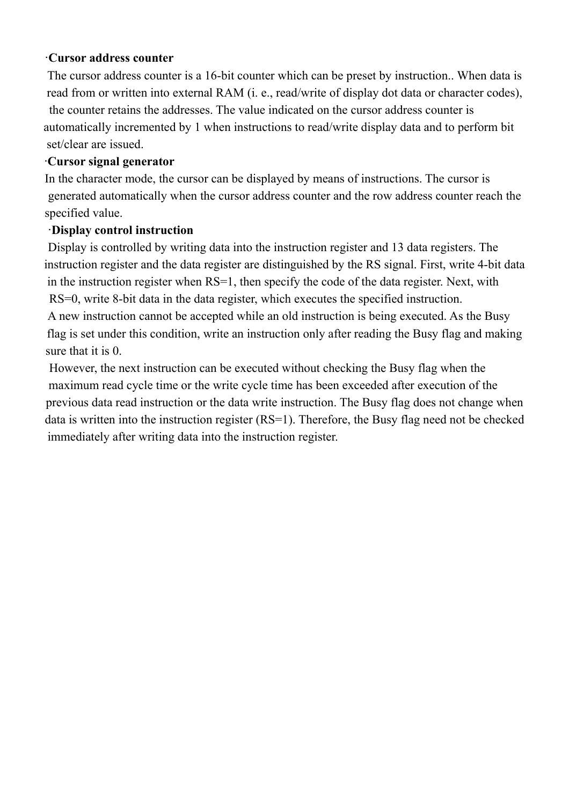#### ‧**Cursor address counter**

The cursor address counter is a 16-bit counter which can be preset by instruction.. When data is read from or written into external RAM (i. e., read/write of display dot data or character codes), the counter retains the addresses. The value indicated on the cursor address counter is automatically incremented by 1 when instructions to read/write display data and to perform bit set/clear are issued.

#### ‧**Cursor signal generator**

In the character mode, the cursor can be displayed by means of instructions. The cursor is generated automatically when the cursor address counter and the row address counter reach the specified value.

#### ‧**Display control instruction**

Display is controlled by writing data into the instruction register and 13 data registers. The instruction register and the data register are distinguished by the RS signal. First, write 4-bit data in the instruction register when RS=1, then specify the code of the data register. Next, with RS=0, write 8-bit data in the data register, which executes the specified instruction.

A new instruction cannot be accepted while an old instruction is being executed. As the Busy flag is set under this condition, write an instruction only after reading the Busy flag and making sure that it is 0.

However, the next instruction can be executed without checking the Busy flag when the maximum read cycle time or the write cycle time has been exceeded after execution of the previous data read instruction or the data write instruction. The Busy flag does not change when data is written into the instruction register (RS=1). Therefore, the Busy flag need not be checked immediately after writing data into the instruction register.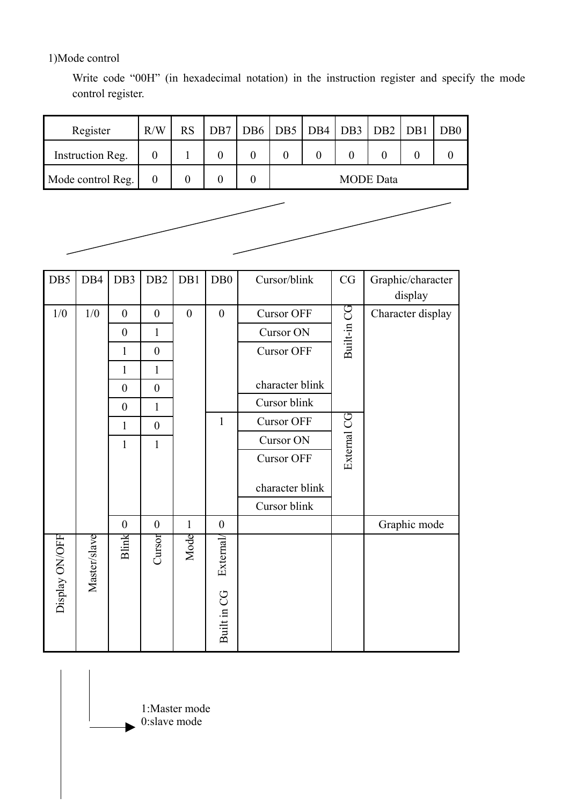1)Mode control

Write code "00H" (in hexadecimal notation) in the instruction register and specify the mode control register.

| Register          | R/W | <b>RS</b> | DB7   DB6   DB5   DB4   DB3   DB2   DB1   DB0 |                  |  |  |  |  |  |
|-------------------|-----|-----------|-----------------------------------------------|------------------|--|--|--|--|--|
| Instruction Reg.  |     |           |                                               |                  |  |  |  |  |  |
| Mode control Reg. |     |           |                                               | <b>MODE</b> Data |  |  |  |  |  |



| DB5            | DB4          | DB3              | DB <sub>2</sub>  | DB1              | DB <sub>0</sub>  | Cursor/blink      | CG          | Graphic/character |
|----------------|--------------|------------------|------------------|------------------|------------------|-------------------|-------------|-------------------|
|                |              |                  |                  |                  |                  |                   |             | display           |
| 1/0            | 1/0          | $\boldsymbol{0}$ | $\boldsymbol{0}$ | $\boldsymbol{0}$ | $\boldsymbol{0}$ | <b>Cursor OFF</b> |             | Character display |
|                |              | $\boldsymbol{0}$ | 1                |                  |                  | Cursor ON         |             |                   |
|                |              | $\mathbf{1}$     | $\boldsymbol{0}$ |                  |                  | <b>Cursor OFF</b> | Built-in CG |                   |
|                |              | $\mathbf{1}$     | $\mathbf{1}$     |                  |                  |                   |             |                   |
|                |              | $\boldsymbol{0}$ | $\boldsymbol{0}$ |                  |                  | character blink   |             |                   |
|                |              | $\boldsymbol{0}$ | 1                |                  |                  | Cursor blink      |             |                   |
|                |              | $\mathbf{1}$     | $\boldsymbol{0}$ |                  | $\mathbf{1}$     | <b>Cursor OFF</b> |             |                   |
|                |              | $\mathbf{1}$     | $\mathbf{1}$     |                  |                  | Cursor ON         |             |                   |
|                |              |                  |                  |                  |                  | <b>Cursor OFF</b> | External CG |                   |
|                |              |                  |                  |                  |                  | character blink   |             |                   |
|                |              |                  |                  |                  |                  | Cursor blink      |             |                   |
|                |              | $\boldsymbol{0}$ | $\boldsymbol{0}$ | $\mathbf{1}$     | $\boldsymbol{0}$ |                   |             | Graphic mode      |
| Display ON/OFF | Master/slave | Blink            | Cursor           | Mode             | <b>External</b>  |                   |             |                   |
|                |              |                  |                  |                  | Built in CG      |                   |             |                   |

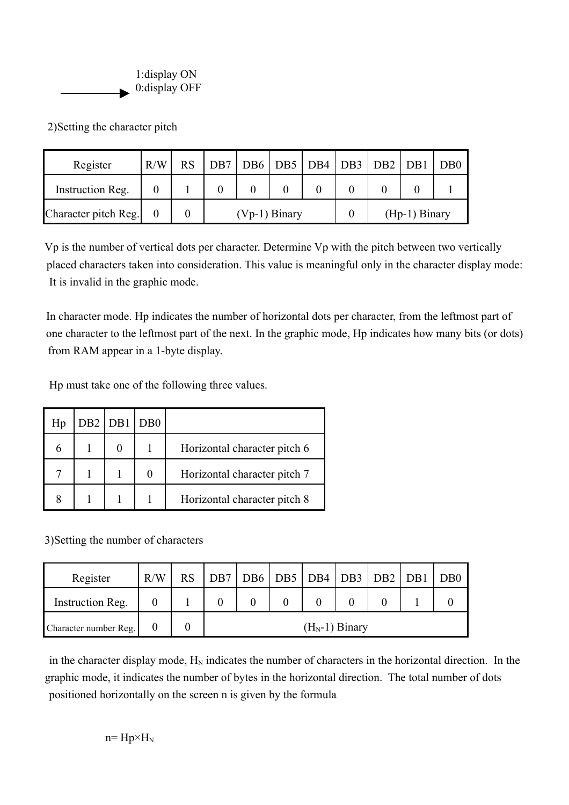

2)Setting the character pitch

| Register             | R/W | <b>RS</b> |                 |  |  |  | DB7 DB6 DB5 DB4 DB3 DB2 DB1 |                 | DB <sub>0</sub> |
|----------------------|-----|-----------|-----------------|--|--|--|-----------------------------|-----------------|-----------------|
| Instruction Reg.     |     |           |                 |  |  |  |                             |                 |                 |
| Character pitch Reg. |     |           | $(Vp-1)$ Binary |  |  |  |                             | $(Hp-1)$ Binary |                 |

Vp is the number of vertical dots per character. Determine Vp with the pitch between two vertically placed characters taken into consideration. This value is meaningful only in the character display mode: It is invalid in the graphic mode.

In character mode. Hp indicates the number of horizontal dots per character, from the leftmost part of one character to the leftmost part of the next. In the graphic mode, Hp indicates how many bits (or dots) from RAM appear in a 1-byte display.

Hp must take one of the following three values.

| Hp | D <sub>B2</sub> | DB1 | DB <sub>0</sub> |                              |
|----|-----------------|-----|-----------------|------------------------------|
|    |                 |     |                 | Horizontal character pitch 6 |
|    |                 |     |                 | Horizontal character pitch 7 |
|    |                 |     |                 | Horizontal character pitch 8 |

3)Setting the number of characters

| Register              | R/W | <b>RS</b> | DB7 DB6 DB5 DB4 DB3 DB2 DB1 |  |  |  |  |  |  | D <sub>B</sub> 0 |
|-----------------------|-----|-----------|-----------------------------|--|--|--|--|--|--|------------------|
| Instruction Reg.      |     |           |                             |  |  |  |  |  |  |                  |
| Character number Reg. |     |           | $(H_N-1)$ Binary            |  |  |  |  |  |  |                  |

in the character display mode,  $H_N$  indicates the number of characters in the horizontal direction. In the graphic mode, it indicates the number of bytes in the horizontal direction. The total number of dots positioned horizontally on the screen n is given by the formula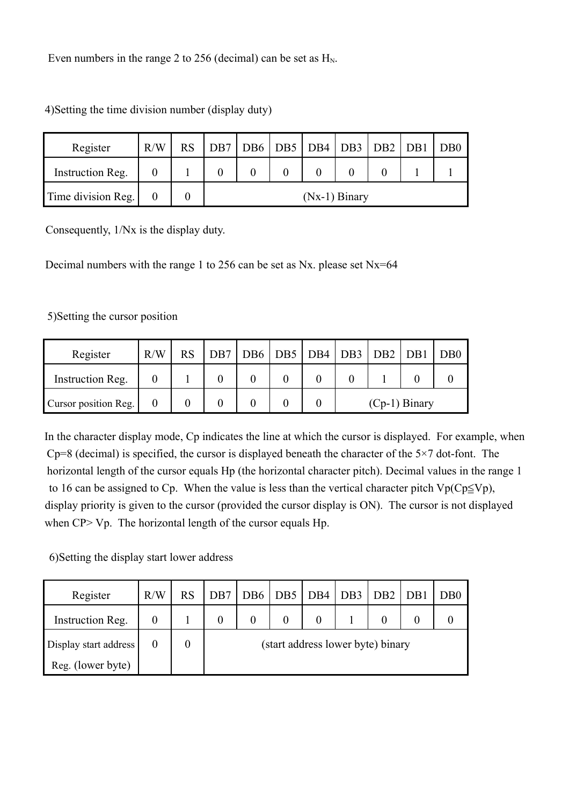Even numbers in the range 2 to 256 (decimal) can be set as  $H_N$ .

| Register           | R/W | <b>RS</b> |  | DB7   DB6   DB5   DB4   DB3   DB2   DB1 |                 |  | D <sub>B</sub> 0 |
|--------------------|-----|-----------|--|-----------------------------------------|-----------------|--|------------------|
| Instruction Reg.   |     |           |  |                                         |                 |  |                  |
| Time division Reg. |     |           |  |                                         | $(Nx-1)$ Binary |  |                  |

4)Setting the time division number (display duty)

Consequently, 1/Nx is the display duty.

Decimal numbers with the range 1 to 256 can be set as Nx. please set Nx=64

#### 5)Setting the cursor position

| Register             | R/W | <b>RS</b> |  | DB7 DB6 DB5 DB4 DB3 DB2 DB1 DB0 |                 |  |  |  |
|----------------------|-----|-----------|--|---------------------------------|-----------------|--|--|--|
| Instruction Reg.     |     |           |  |                                 |                 |  |  |  |
| Cursor position Reg. |     |           |  |                                 | $(Cp-1)$ Binary |  |  |  |

In the character display mode, Cp indicates the line at which the cursor is displayed. For example, when  $Cp=8$  (decimal) is specified, the cursor is displayed beneath the character of the  $5\times7$  dot-font. The horizontal length of the cursor equals Hp (the horizontal character pitch). Decimal values in the range 1 to 16 can be assigned to Cp. When the value is less than the vertical character pitch  $Vp(Cp \leq Vp)$ , display priority is given to the cursor (provided the cursor display is ON). The cursor is not displayed when CP> Vp. The horizontal length of the cursor equals Hp.

6)Setting the display start lower address

| Register              | R/W | <b>RS</b> | DB7                               |  | DB6   DB5   DB4   DB3   DB2   DB1 |  |  |  |  | DB0 |  |  |
|-----------------------|-----|-----------|-----------------------------------|--|-----------------------------------|--|--|--|--|-----|--|--|
| Instruction Reg.      |     |           | $\theta$                          |  |                                   |  |  |  |  |     |  |  |
| Display start address |     |           | (start address lower byte) binary |  |                                   |  |  |  |  |     |  |  |
| Reg. (lower byte)     |     |           |                                   |  |                                   |  |  |  |  |     |  |  |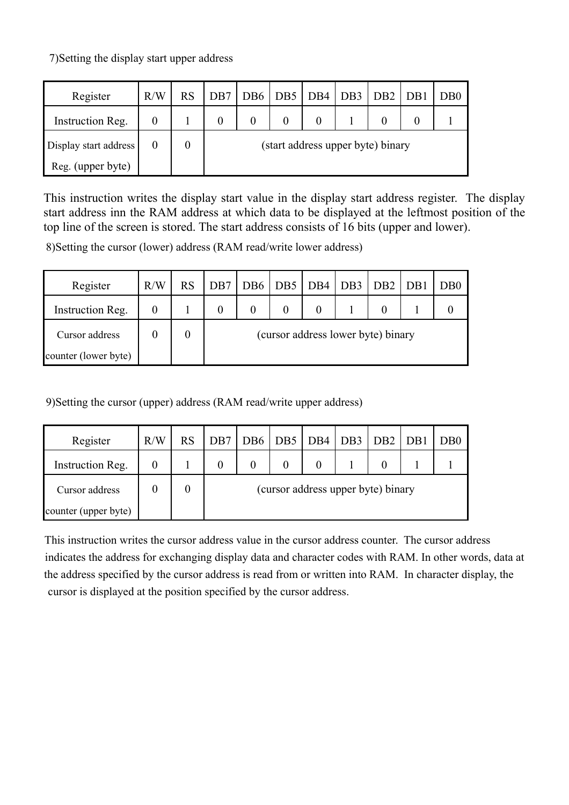7)Setting the display start upper address

| Register              | R/W | <b>RS</b> | DB7 |                                   | DB6   DB5   DB4   DB3   DB2   DB1 |  |  |  |  | D <sub>B</sub> 0 |  |  |  |
|-----------------------|-----|-----------|-----|-----------------------------------|-----------------------------------|--|--|--|--|------------------|--|--|--|
| Instruction Reg.      |     |           | 0   |                                   |                                   |  |  |  |  |                  |  |  |  |
| Display start address |     | 0         |     | (start address upper byte) binary |                                   |  |  |  |  |                  |  |  |  |
| Reg. (upper byte)     |     |           |     |                                   |                                   |  |  |  |  |                  |  |  |  |

This instruction writes the display start value in the display start address register. The display start address inn the RAM address at which data to be displayed at the leftmost position of the top line of the screen is stored. The start address consists of 16 bits (upper and lower).

8)Setting the cursor (lower) address (RAM read/write lower address)

| Register             | R/W | <b>RS</b> | D <sub>B7</sub>                    | DB <sub>6</sub> | $\vert$ DB5 $\vert$ DB4 $\vert$ DB3 $\vert$ DB2 $\vert$ DB1 |          |  |  |  | D <sub>B</sub> 0 |  |  |
|----------------------|-----|-----------|------------------------------------|-----------------|-------------------------------------------------------------|----------|--|--|--|------------------|--|--|
| Instruction Reg.     |     |           |                                    |                 |                                                             | $\theta$ |  |  |  |                  |  |  |
| Cursor address       |     |           | (cursor address lower byte) binary |                 |                                                             |          |  |  |  |                  |  |  |
| counter (lower byte) |     |           |                                    |                 |                                                             |          |  |  |  |                  |  |  |

9)Setting the cursor (upper) address (RAM read/write upper address)

| Register             | R/W | <b>RS</b> | DB7            |                                    | DB6   DB5   DB4   DB3   DB2   DB1 |          |  |  |  | D <sub>B</sub> 0 |  |  |  |
|----------------------|-----|-----------|----------------|------------------------------------|-----------------------------------|----------|--|--|--|------------------|--|--|--|
| Instruction Reg.     |     |           | $\overline{0}$ |                                    |                                   | $\Omega$ |  |  |  |                  |  |  |  |
| Cursor address       |     |           |                | (cursor address upper byte) binary |                                   |          |  |  |  |                  |  |  |  |
| counter (upper byte) |     |           |                |                                    |                                   |          |  |  |  |                  |  |  |  |

This instruction writes the cursor address value in the cursor address counter. The cursor address indicates the address for exchanging display data and character codes with RAM. In other words, data at the address specified by the cursor address is read from or written into RAM. In character display, the cursor is displayed at the position specified by the cursor address.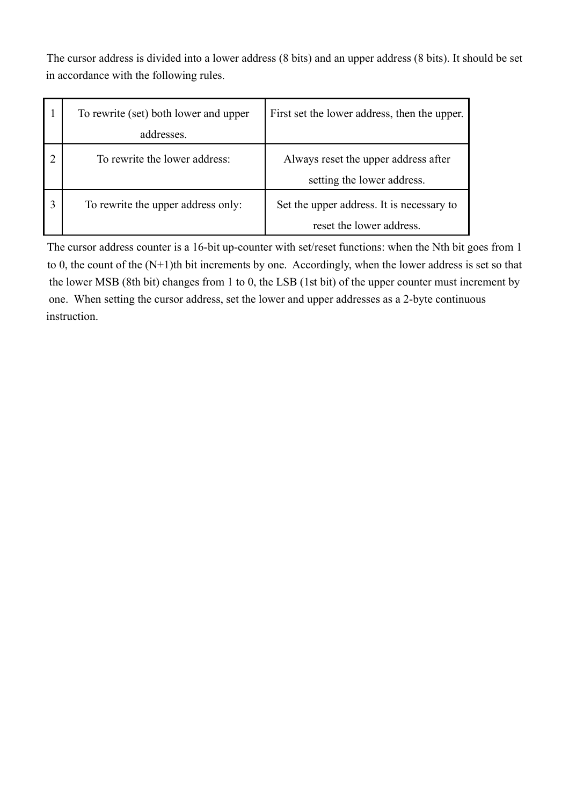The cursor address is divided into a lower address (8 bits) and an upper address (8 bits). It should be set in accordance with the following rules.

| To rewrite (set) both lower and upper | First set the lower address, then the upper. |
|---------------------------------------|----------------------------------------------|
| addresses.                            |                                              |
| To rewrite the lower address:         | Always reset the upper address after         |
|                                       | setting the lower address.                   |
| To rewrite the upper address only:    | Set the upper address. It is necessary to    |
|                                       | reset the lower address.                     |

The cursor address counter is a 16-bit up-counter with set/reset functions: when the Nth bit goes from 1 to 0, the count of the (N+1)th bit increments by one. Accordingly, when the lower address is set so that the lower MSB (8th bit) changes from 1 to 0, the LSB (1st bit) of the upper counter must increment by one. When setting the cursor address, set the lower and upper addresses as a 2-byte continuous instruction.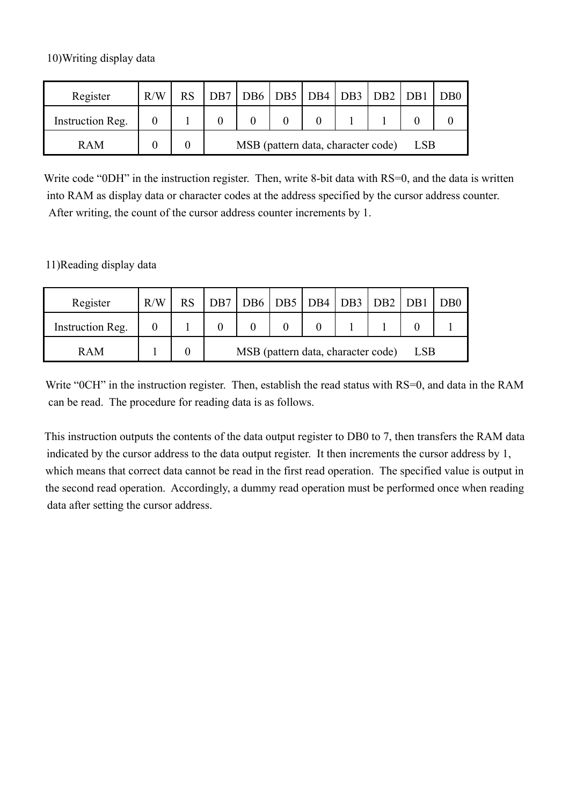10)Writing display data

| Register         | R/W | <b>RS</b> |                                                  |  |  |  | DB7   DB6   DB5   DB4   DB3   DB2   DB1 |  | D <sub>B</sub> 0 |
|------------------|-----|-----------|--------------------------------------------------|--|--|--|-----------------------------------------|--|------------------|
| Instruction Reg. |     |           |                                                  |  |  |  |                                         |  |                  |
| <b>RAM</b>       |     |           | MSB (pattern data, character code)<br><b>LSB</b> |  |  |  |                                         |  |                  |

Write code "0DH" in the instruction register. Then, write 8-bit data with RS=0, and the data is written into RAM as display data or character codes at the address specified by the cursor address counter. After writing, the count of the cursor address counter increments by 1.

11)Reading display data

| Register         | R/W | DB7 DB6 DB5 DB4 DB3 DB2 DB1                      |  |  |  |  |  |  | DB <sub>0</sub> |
|------------------|-----|--------------------------------------------------|--|--|--|--|--|--|-----------------|
| Instruction Reg. |     |                                                  |  |  |  |  |  |  |                 |
| <b>RAM</b>       |     | MSB (pattern data, character code)<br><b>LSB</b> |  |  |  |  |  |  |                 |

Write "0CH" in the instruction register. Then, establish the read status with RS=0, and data in the RAM can be read. The procedure for reading data is as follows.

This instruction outputs the contents of the data output register to DB0 to 7, then transfers the RAM data indicated by the cursor address to the data output register. It then increments the cursor address by 1, which means that correct data cannot be read in the first read operation. The specified value is output in the second read operation. Accordingly, a dummy read operation must be performed once when reading data after setting the cursor address.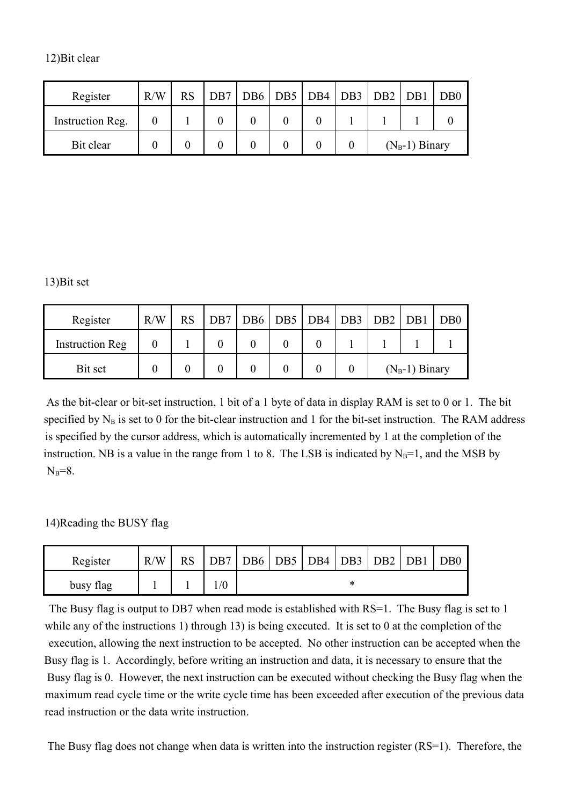| 12) Bit clear |  |  |
|---------------|--|--|
|               |  |  |

| Register         | R/W | <b>RS</b> | $\vert DB7 \vert DB6 \vert DB5 \vert DB4 \vert DB3 \vert DB2 \vert DB1 \vert$ |  |  |                  | D <sub>B</sub> 0 |
|------------------|-----|-----------|-------------------------------------------------------------------------------|--|--|------------------|------------------|
| Instruction Reg. |     |           |                                                                               |  |  |                  |                  |
| Bit clear        |     |           |                                                                               |  |  | $(N_B-1)$ Binary |                  |

#### 13)Bit set

| Register               | R/W | <b>RS</b> | DB7   DB6   DB5   DB4   DB3   DB2   DB1   DB0 |  |  |                  |  |  |
|------------------------|-----|-----------|-----------------------------------------------|--|--|------------------|--|--|
| <b>Instruction Reg</b> |     |           |                                               |  |  |                  |  |  |
| Bit set                |     |           |                                               |  |  | $(N_B-1)$ Binary |  |  |

As the bit-clear or bit-set instruction, 1 bit of a 1 byte of data in display RAM is set to 0 or 1. The bit specified by  $N_B$  is set to 0 for the bit-clear instruction and 1 for the bit-set instruction. The RAM address is specified by the cursor address, which is automatically incremented by 1 at the completion of the instruction. NB is a value in the range from 1 to 8. The LSB is indicated by  $N_B=1$ , and the MSB by  $N_B=8$ .

#### 14)Reading the BUSY flag

| Register  | R/W | <b>RS</b> |   | DB7   DB6   DB5   DB4   DB3 |  |  | DB2   DB1 |  | D <sub>B</sub> 0 |
|-----------|-----|-----------|---|-----------------------------|--|--|-----------|--|------------------|
| busy flag |     |           | ж |                             |  |  |           |  |                  |

The Busy flag is output to DB7 when read mode is established with RS=1. The Busy flag is set to 1 while any of the instructions 1) through 13) is being executed. It is set to 0 at the completion of the execution, allowing the next instruction to be accepted. No other instruction can be accepted when the Busy flag is 1. Accordingly, before writing an instruction and data, it is necessary to ensure that the Busy flag is 0. However, the next instruction can be executed without checking the Busy flag when the maximum read cycle time or the write cycle time has been exceeded after execution of the previous data read instruction or the data write instruction.

The Busy flag does not change when data is written into the instruction register (RS=1). Therefore, the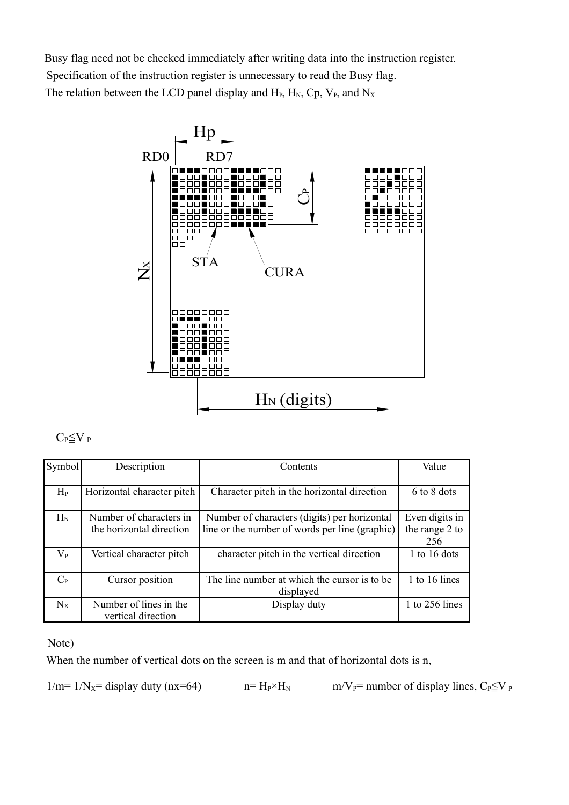Busy flag need not be checked immediately after writing data into the instruction register. Specification of the instruction register is unnecessary to read the Busy flag. The relation between the LCD panel display and  $H_P$ ,  $H_N$ ,  $C_p$ ,  $V_P$ , and  $N_X$ 



#### $C_P \leq V_P$

| Symbol      | Description                                         | Contents                                                                                       | Value                                   |
|-------------|-----------------------------------------------------|------------------------------------------------------------------------------------------------|-----------------------------------------|
| $H_{P}$     | Horizontal character pitch                          | Character pitch in the horizontal direction                                                    | 6 to 8 dots                             |
| $H_N$       | Number of characters in<br>the horizontal direction | Number of characters (digits) per horizontal<br>line or the number of words per line (graphic) | Even digits in<br>the range 2 to<br>256 |
| $\rm V_{P}$ | Vertical character pitch                            | character pitch in the vertical direction                                                      | 1 to 16 dots                            |
| $C_{P}$     | Cursor position                                     | The line number at which the cursor is to be<br>displayed                                      | 1 to 16 lines                           |
| $N_{X}$     | Number of lines in the<br>vertical direction        | Display duty                                                                                   | 1 to 256 lines                          |

#### Note)

When the number of vertical dots on the screen is m and that of horizontal dots is n,

$$
1/m = 1/Nx
$$
 = display duty (nx=64)

 $n= H_P\times H_N$  m/V<sub>P</sub>= number of display lines, C<sub>P</sub>≤V <sub>P</sub>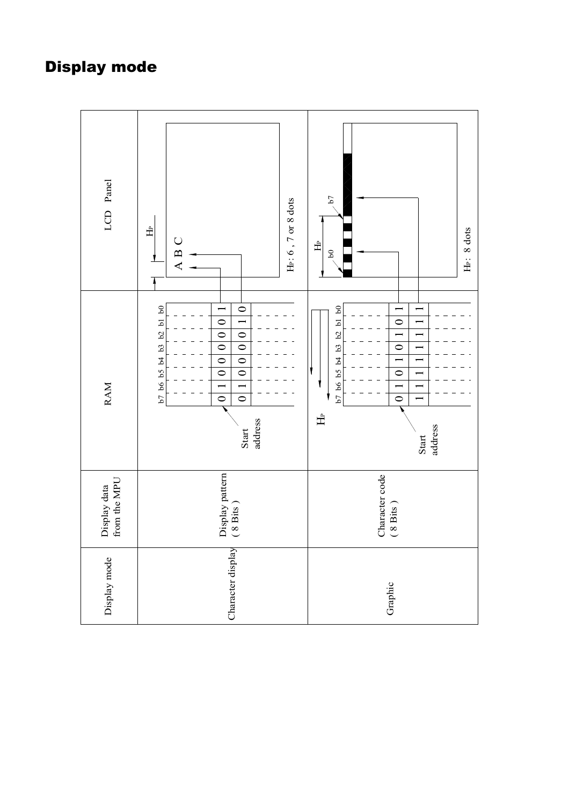### Display mode

| LCD Panel                    | He: $6$ , $7$ or $8$ dots<br>Ê<br>$\bigcup$<br>$\mathbf{r}$<br>⋖                                                                                                                                                                                                                                                                               | $^{67}$<br>$H_P$ : 8 dots<br>$\triangleq$<br>$\mathbf{S}$                                                                                                                                   |
|------------------------------|------------------------------------------------------------------------------------------------------------------------------------------------------------------------------------------------------------------------------------------------------------------------------------------------------------------------------------------------|---------------------------------------------------------------------------------------------------------------------------------------------------------------------------------------------|
| <b>RAM</b>                   | b7 b6 b5 b4 b3 b2 b1 b0<br>$\circ$<br>$\circ$<br>$\overline{ }$<br>$\overline{\circ}$<br>$\circ$<br>$\overline{\circ}$<br>$\overline{\circ}$<br>$\overline{\bullet}$<br>$\overline{\circ}$<br>$\overline{\bigcirc}$<br>$\overline{\bigcirc}$<br>$\overline{\phantom{0}}$<br>$\overline{\phantom{0}}$<br>$\circ$<br>$\circ$<br>address<br>Start | b7 b6 b5 b4 b3 b2 b1 b0<br>$\circ$<br>$\overline{\phantom{0}}$<br>$\overline{\phantom{0}}$<br>$\overline{\circ}$<br>$\overline{\phantom{0}}$<br>$\circ$<br>$\circ$<br>土<br>address<br>Start |
| from the MPU<br>Display data | Display pattern<br>$(8 \text{ bits})$                                                                                                                                                                                                                                                                                                          | Character code<br>$(8 \text{ bits})$                                                                                                                                                        |
| Display mode                 | Character display                                                                                                                                                                                                                                                                                                                              | Graphic                                                                                                                                                                                     |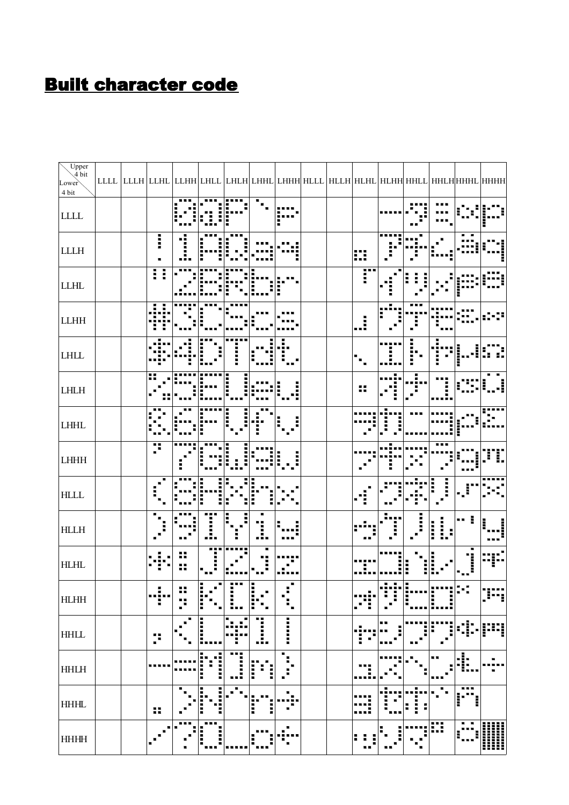### Built character code

| $U$ pper<br>$\hat{4}$ bit<br>Lower           |  |                      |        |                  |             |                       |                                            |  |                       |                          |                            |              |                                                 | LLLL  LLLH  LLHL  LLHH  LHLL  LHLH  LHHL  LHHH  HLLL  HLLH  HLHL  HLHH  HHLL  HHLH  HHHL  HHHH |
|----------------------------------------------|--|----------------------|--------|------------------|-------------|-----------------------|--------------------------------------------|--|-----------------------|--------------------------|----------------------------|--------------|-------------------------------------------------|------------------------------------------------------------------------------------------------|
| 4 bit                                        |  |                      |        |                  |             |                       |                                            |  |                       |                          |                            |              |                                                 |                                                                                                |
| $\textbf{LLL} \textbf{}$                     |  |                      |        |                  |             |                       |                                            |  |                       |                          |                            |              |                                                 |                                                                                                |
| ${\rm L}{\rm L}{\rm L}{\rm H}$               |  | I                    |        |                  |             |                       |                                            |  | ₩                     |                          |                            |              |                                                 |                                                                                                |
| <b>LLHL</b>                                  |  | Ħ                    |        |                  |             |                       |                                            |  | r                     |                          |                            |              |                                                 |                                                                                                |
| $\begin{array}{lll} \text{LLHH} \end{array}$ |  |                      |        |                  |             |                       |                                            |  | J.                    |                          |                            |              |                                                 |                                                                                                |
| $\mbox{LHLL}$                                |  |                      |        |                  |             |                       |                                            |  |                       |                          |                            |              |                                                 |                                                                                                |
| ${\rm LHLH}$                                 |  |                      |        |                  |             |                       |                                            |  | 89                    |                          |                            |              |                                                 |                                                                                                |
| $LHHL$                                       |  |                      |        |                  |             |                       |                                            |  |                       |                          |                            |              |                                                 |                                                                                                |
| ${\rm LHHH}$                                 |  | ×                    |        |                  |             |                       |                                            |  |                       |                          |                            |              |                                                 |                                                                                                |
| $\mbox{HLLL}$                                |  |                      |        |                  |             |                       |                                            |  |                       |                          |                            |              |                                                 |                                                                                                |
| ${\rm HLLH}$                                 |  |                      |        |                  |             | Ĵ.                    |                                            |  |                       | H                        |                            | I<br>I<br>H  | ÷<br>ш                                          |                                                                                                |
| H L H L                                      |  |                      | ∺<br>ш |                  |             |                       |                                            |  |                       |                          | E                          |              |                                                 |                                                                                                |
| <b>HLHH</b>                                  |  | п<br><br>۲           | ш<br>p | ۳<br>Ξ<br>ŀ<br>п | <br>İ<br>нκ | Ξ<br>ŀ<br>п<br>п<br>п | п<br>$\blacksquare$<br>п<br>H<br>н         |  |                       | . <del>.</del><br>H<br>ì | Ī                          | I<br>Ξ       | Ξ<br>П<br>п                                     | TH,                                                                                            |
| <b>HHLL</b>                                  |  | 75<br>$\blacksquare$ | ■      | i<br>п           |             | Ī<br>医胃道              | i                                          |  |                       | H<br>п                   | i                          | H<br>Η       |                                                 |                                                                                                |
| <b>HHLH</b>                                  |  |                      |        | ĸ<br>i<br>į<br>п | п.          | Ë<br>Ē<br>Ì           | ш<br>$\blacksquare$<br>п<br>$\blacksquare$ |  |                       |                          |                            | ш<br>п       | ₫.                                              | ▬                                                                                              |
| <b>HHHL</b>                                  |  | 85                   |        | i<br>i           |             | ■<br>ľ<br>j           | ш                                          |  |                       | н                        | п<br>٠<br>l<br>H<br>ш<br>Е |              | ш<br>I<br>Ī                                     |                                                                                                |
| <b>HHHH</b>                                  |  |                      |        | i<br>İ           |             | H                     |                                            |  | г<br>F<br>п<br>Ξ<br>Е | i                        | Е<br>п                     | m<br><b></b> | $\blacksquare$<br>п<br>Ì<br>I<br>$\blacksquare$ |                                                                                                |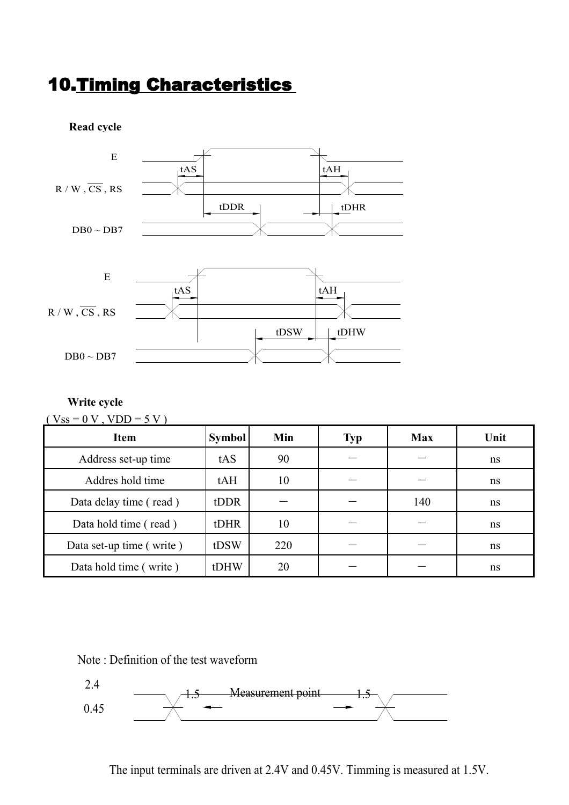### 10.Timing Characteristics



#### **Write cycle**

| $(Vss = 0 V, VDD = 5 V)$ |               |     |            |            |      |  |  |  |  |
|--------------------------|---------------|-----|------------|------------|------|--|--|--|--|
| <b>Item</b>              | <b>Symbol</b> | Min | <b>Typ</b> | <b>Max</b> | Unit |  |  |  |  |
| Address set-up time      | tAS           | 90  |            |            | ns   |  |  |  |  |
| Addres hold time         | tAH           | 10  |            |            | ns   |  |  |  |  |
| Data delay time (read)   | tDDR          |     |            | 140        | ns   |  |  |  |  |
| Data hold time (read)    | tDHR          | 10  |            |            | ns   |  |  |  |  |
| Data set-up time (write) | tDSW          | 220 |            |            | ns   |  |  |  |  |
| Data hold time (write)   | tDHW          | 20  |            |            | ns   |  |  |  |  |

Note : Definition of the test waveform



The input terminals are driven at 2.4V and 0.45V. Timming is measured at 1.5V.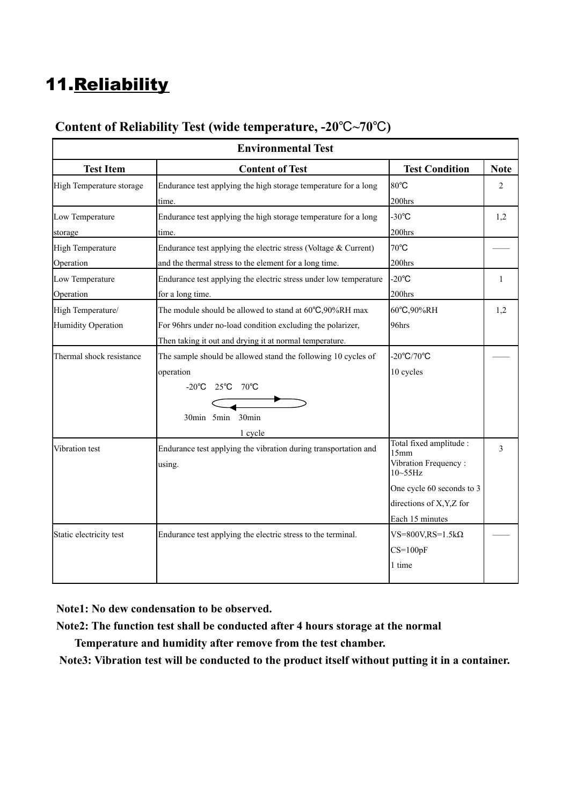### 11.Reliability

| Content of Reliability Test (wide temperature, $-20^{\circ}C \sim 70^{\circ}C$ ) |
|----------------------------------------------------------------------------------|
|----------------------------------------------------------------------------------|

| <b>Environmental Test</b> |                                                                   |                                      |              |  |  |  |  |  |
|---------------------------|-------------------------------------------------------------------|--------------------------------------|--------------|--|--|--|--|--|
| <b>Test Item</b>          | <b>Content of Test</b>                                            | <b>Test Condition</b>                | <b>Note</b>  |  |  |  |  |  |
| High Temperature storage  | Endurance test applying the high storage temperature for a long   | 80°C                                 | 2            |  |  |  |  |  |
|                           | time.                                                             | 200hrs                               |              |  |  |  |  |  |
| Low Temperature           | Endurance test applying the high storage temperature for a long   | $-30^{\circ}$ C                      | 1,2          |  |  |  |  |  |
| storage                   | time.                                                             | 200hrs                               |              |  |  |  |  |  |
| <b>High Temperature</b>   | Endurance test applying the electric stress (Voltage $&$ Current) | 70°C                                 |              |  |  |  |  |  |
| Operation                 | and the thermal stress to the element for a long time.            | 200hrs                               |              |  |  |  |  |  |
| Low Temperature           | Endurance test applying the electric stress under low temperature | $-20^{\circ}$ C                      | $\mathbf{1}$ |  |  |  |  |  |
| Operation                 | for a long time.                                                  | 200hrs                               |              |  |  |  |  |  |
| High Temperature/         | The module should be allowed to stand at 60°C,90%RH max           | 60°C,90%RH                           | 1,2          |  |  |  |  |  |
| Humidity Operation        | For 96hrs under no-load condition excluding the polarizer,        | 96hrs                                |              |  |  |  |  |  |
|                           | Then taking it out and drying it at normal temperature.           |                                      |              |  |  |  |  |  |
| Thermal shock resistance  | The sample should be allowed stand the following 10 cycles of     | $-20^{\circ}C/70^{\circ}C$           |              |  |  |  |  |  |
|                           | operation                                                         | 10 cycles                            |              |  |  |  |  |  |
|                           | $-20^{\circ}$ C 25 $^{\circ}$ C 70 $^{\circ}$ C                   |                                      |              |  |  |  |  |  |
|                           |                                                                   |                                      |              |  |  |  |  |  |
|                           | 30min<br>30min 5min                                               |                                      |              |  |  |  |  |  |
|                           | 1 cycle                                                           |                                      |              |  |  |  |  |  |
| Vibration test            | Endurance test applying the vibration during transportation and   | Total fixed amplitude :<br>15mm      | 3            |  |  |  |  |  |
|                           | using.                                                            | Vibration Frequency:<br>$10 - 55$ Hz |              |  |  |  |  |  |
|                           |                                                                   | One cycle 60 seconds to 3            |              |  |  |  |  |  |
|                           |                                                                   | directions of X, Y, Z for            |              |  |  |  |  |  |
|                           |                                                                   | Each 15 minutes                      |              |  |  |  |  |  |
| Static electricity test   | Endurance test applying the electric stress to the terminal.      | $VS = 800V$ , $RS = 1.5k\Omega$      |              |  |  |  |  |  |
|                           |                                                                   | $CS=100pF$                           |              |  |  |  |  |  |
|                           |                                                                   | 1 time                               |              |  |  |  |  |  |
|                           |                                                                   |                                      |              |  |  |  |  |  |

**Note1: No dew condensation to be observed.**

**Note2: The function test shall be conducted after 4 hours storage at the normal** 

 **Temperature and humidity after remove from the test chamber.**

**Note3: Vibration test will be conducted to the product itself without putting it in a container.**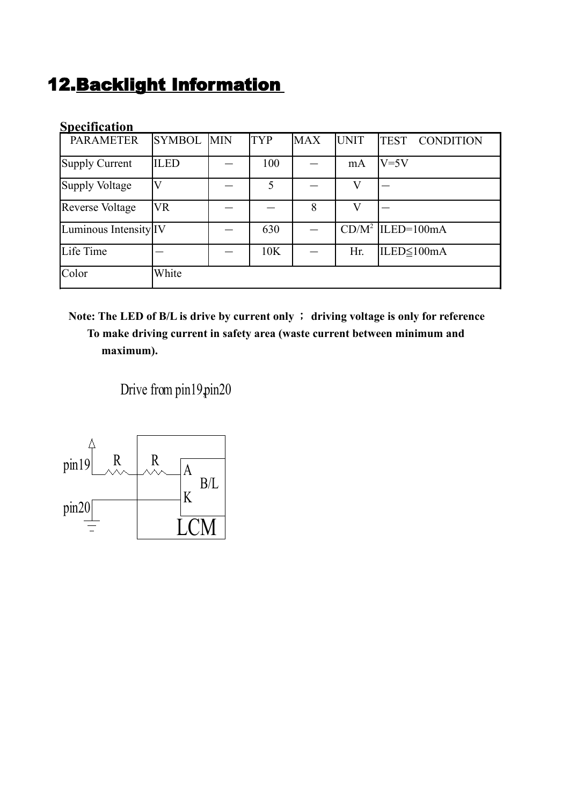### 12.Backlight Information

| <b>Specification</b>   |                   |            |            |             |                                 |
|------------------------|-------------------|------------|------------|-------------|---------------------------------|
| <b>PARAMETER</b>       | <b>SYMBOL</b> MIN | <b>TYP</b> | <b>MAX</b> | <b>UNIT</b> | <b>TEST</b><br><b>CONDITION</b> |
| <b>Supply Current</b>  | <b>ILED</b>       | 100        |            | mA          | $V = 5V$                        |
| <b>Supply Voltage</b>  |                   | 5          |            | V           |                                 |
| <b>Reverse Voltage</b> | VR                |            | 8          | V           |                                 |
| Luminous Intensity IV  |                   | 630        |            |             | $CD/M^2$  ILED=100mA            |
| Life Time              |                   | 10K        |            | Hr.         | ILED≤100mA                      |
| Color                  | White             |            |            |             |                                 |

#### **Note: The LED of B/L is drive by current only** ; **driving voltage is only for reference To make driving current in safety area (waste current between minimum and maximum).**

Drive from pin19.pin20